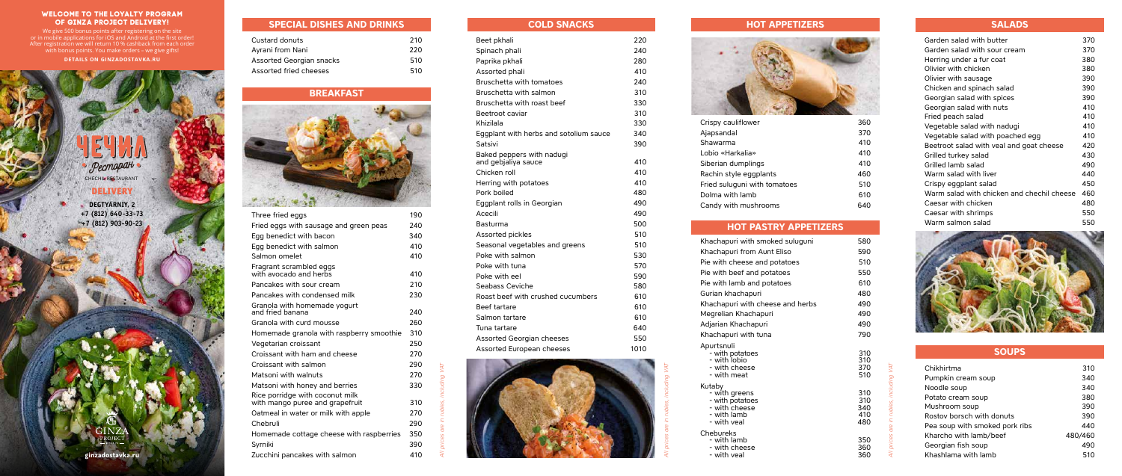*All prices are in rubles, including VAT*

*All prices are in rubles, including VAT*

Chebur<br>wit

*All prices are in rubles, including VAT*

#### **WELCOME TO THE LOYALTY PROGRAM OF GINZA PROJECT DELIVERY!**

We give 500 bonus points after registering on the site or in mobile applications for iOS and Android at the first order! After registration we will return 10 % cashback from each order with bonus points. You make orders – we give gifts!

**DETAILS ON GINZADOSTAVKA.RU**

DELIVERY **DEGTYARNIY, 2** 

CHECHIL RESTAURANT

Pecmopati

**+7 (812) 640-33-73 +7 (812) 903-90-23**

**SPECIAL DISHES AND DRINKS**

| Custard donuts                  | 210 |
|---------------------------------|-----|
| Ayrani from Nani                | 220 |
| <b>Assorted Georgian snacks</b> | 510 |
| Assorted fried cheeses          | 510 |
|                                 |     |

# **BREAKFAST**



| Three fried eggs                                                   | 190 |
|--------------------------------------------------------------------|-----|
| Fried eggs with sausage and green peas                             | 240 |
| Egg benedict with bacon                                            | 340 |
| Egg benedict with salmon                                           | 410 |
| Salmon omelet                                                      | 410 |
| Fragrant scrambled eggs<br>with avocado and herbs                  | 410 |
| Pancakes with sour cream                                           | 210 |
| Pancakes with condensed milk                                       | 230 |
| Granola with homemade yogurt<br>and fried banana                   | 240 |
| Granola with curd mousse                                           | 260 |
| Homemade granola with raspberry smoothie                           | 310 |
| Vegetarian croissant                                               | 250 |
| Croissant with ham and cheese                                      | 270 |
| Croissant with salmon                                              | 290 |
| Matsoni with walnuts                                               | 270 |
| Matsoni with honey and berries                                     | 330 |
| Rice porridge with coconut milk<br>with mango puree and grapefruit | 310 |
| Oatmeal in water or milk with apple                                | 270 |
| Chebruli                                                           | 290 |
| Homemade cottage cheese with raspberries                           | 350 |
| Syrniki                                                            | 390 |
| Zucchini pancakes with salmon                                      | 410 |
|                                                                    |     |

#### **COLD SNACKS**

| Beet pkhali                            | 220  |  |
|----------------------------------------|------|--|
| Spinach phali                          | 240  |  |
| Paprika pkhali                         | 280  |  |
| Assorted phali                         | 410  |  |
| Bruschetta with tomatoes               | 240  |  |
| Bruschetta with salmon                 | 310  |  |
| Bruschetta with roast beef             | 330  |  |
| Beetroot caviar                        | 310  |  |
| Khizilala                              | 330  |  |
| Eggplant with herbs and sotolium sauce | 340  |  |
| Satsivi                                | 390  |  |
| Baked peppers with nadugi              |      |  |
| and gebialiya sauce                    | 410  |  |
| Chicken roll                           | 410  |  |
| Herring with potatoes                  | 410  |  |
| Pork boiled                            | 480  |  |
| Eggplant rolls in Georgian             | 490  |  |
| Acecili                                | 490  |  |
| Basturma                               | 500  |  |
| Assorted pickles                       | 510  |  |
| Seasonal vegetables and greens         | 510  |  |
| Poke with salmon                       | 530  |  |
| Poke with tuna                         | 570  |  |
| Poke with eel                          | 590  |  |
| Seabass Ceviche                        | 580  |  |
| Roast beef with crushed cucumbers      | 610  |  |
| <b>Beef tartare</b>                    | 610  |  |
| Salmon tartare                         | 610  |  |
| Tuna tartare                           | 640  |  |
| Assorted Georgian cheeses              | 550  |  |
| Assorted European cheeses              | 1010 |  |
|                                        |      |  |



Crispy Ajapsa Lobio Dolma Candy

Khach Khach Pie wit Pie wit Pie wit Gurian Khach Megrel Adjaria Khach Apurts<br>wil

Kutaby<br>wi

## **HOT APPETIZERS**



| Crispy cauliflower           | 360 |
|------------------------------|-----|
| Ajapsandal                   | 370 |
| Shawarma                     | 410 |
| Lobio «Harkalia»             | 410 |
| Siberian dumplings           | 410 |
| Rachin style eggplants       | 460 |
| Fried suluguni with tomatoes | 510 |
| Dolma with lamb              | 610 |
| Candy with mushrooms         | 640 |
|                              |     |

# **HOT PASTRY APPETIZERS**

## **SALADS**

| Garden salad with butter                   | 370 |
|--------------------------------------------|-----|
| Garden salad with sour cream               | 370 |
| Herring under a fur coat                   | 380 |
| Olivier with chicken                       | 380 |
| Olivier with sausage                       | 390 |
| Chicken and spinach salad                  | 390 |
| Georgian salad with spices                 | 390 |
| Georgian salad with nuts                   | 410 |
| Fried peach salad                          | 410 |
| Vegetable salad with nadugi                | 410 |
| Vegetable salad with poached egg           | 410 |
| Beetroot salad with veal and goat cheese   | 420 |
| Grilled turkey salad                       | 430 |
| Grilled lamb salad                         | 490 |
| Warm salad with liver                      | 440 |
| Crispy eggplant salad                      | 450 |
| Warm salad with chicken and chechil cheese | 460 |
| Caesar with chicken                        | 480 |
| Caesar with shrimps                        | 550 |
| Warm salmon salad                          | 550 |



|                                                                                         | 580                             |
|-----------------------------------------------------------------------------------------|---------------------------------|
| achapuri with smoked suluguni                                                           |                                 |
| achapuri from Aunt Eliso                                                                | 590                             |
| with cheese and potatoes                                                                | 510                             |
| with beef and potatoes                                                                  | 550                             |
| with lamb and potatoes                                                                  | 610                             |
| rian khachapuri                                                                         | 480                             |
| achapuri with cheese and herbs                                                          | 490                             |
| grelian Khachapuri؛                                                                     | 490                             |
| jarian Khachapuri                                                                       | 490                             |
| achapuri with tuna                                                                      | 790                             |
| urtsnuli<br>- with potatoes<br>- with lobio<br>- with cheese<br>- with meat             | 310<br>310<br>370<br>510        |
| taby<br>- with greens<br>- with potatoes<br>- with cheese<br>- with lamb<br>- with veal | 310<br>310<br>340<br>410<br>480 |
| ebureks<br>- with lamb<br>- with cheese<br>- with veal                                  | 350<br>360<br>360               |

## **SOUPS**

| Chikhirtma                     | 310     |
|--------------------------------|---------|
| Pumpkin cream soup             | 340     |
| Noodle soup                    | 340     |
| Potato cream soup              | 380     |
| Mushroom soup                  | 390     |
| Rostov borsch with donuts      | 390     |
| Pea soup with smoked pork ribs | 440     |
| Kharcho with lamb/beef         | 480/460 |
| Georgian fish soup             | 490     |
| Khashlama with lamb            | 510     |